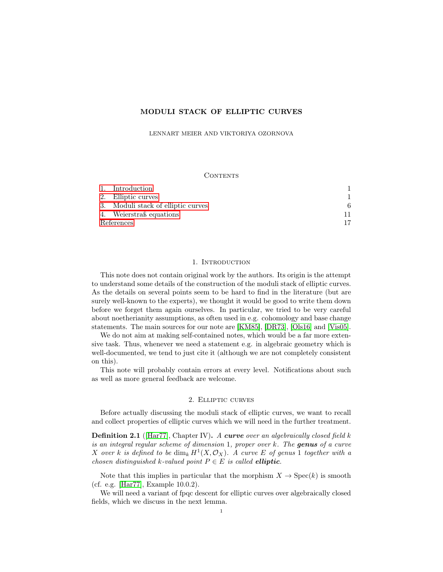# MODULI STACK OF ELLIPTIC CURVES

LENNART MEIER AND VIKTORIYA OZORNOVA

## **CONTENTS**

|            | 1. Introduction                    |    |
|------------|------------------------------------|----|
|            | 2. Elliptic curves                 |    |
|            | 3. Moduli stack of elliptic curves |    |
|            | 4. Weierstraß equations            |    |
| References |                                    | 17 |

## 1. INTRODUCTION

<span id="page-0-0"></span>This note does not contain original work by the authors. Its origin is the attempt to understand some details of the construction of the moduli stack of elliptic curves. As the details on several points seem to be hard to find in the literature (but are surely well-known to the experts), we thought it would be good to write them down before we forget them again ourselves. In particular, we tried to be very careful about noetherianity assumptions, as often used in e.g. cohomology and base change statements. The main sources for our note are [\[KM85\]](#page-16-1), [\[DR73\]](#page-16-2), [\[Ols16\]](#page-16-3) and [\[Vis05\]](#page-17-0).

We do not aim at making self-contained notes, which would be a far more extensive task. Thus, whenever we need a statement e.g. in algebraic geometry which is well-documented, we tend to just cite it (although we are not completely consistent on this).

This note will probably contain errors at every level. Notifications about such as well as more general feedback are welcome.

#### 2. Elliptic curves

<span id="page-0-1"></span>Before actually discussing the moduli stack of elliptic curves, we want to recall and collect properties of elliptic curves which we will need in the further treatment.

**Definition 2.1** ([\[Har77\]](#page-16-4), Chapter IV). A curve over an algebraically closed field  $k$ is an integral regular scheme of dimension  $1$ , proper over  $k$ . The **genus** of a curve X over k is defined to be  $\dim_k H^1(X, \mathcal{O}_X)$ . A curve E of genus 1 together with a chosen distinguished k-valued point  $P \in E$  is called **elliptic**.

Note that this implies in particular that the morphism  $X \to \text{Spec}(k)$  is smooth (cf. e.g. [\[Har77\]](#page-16-4), Example 10.0.2).

<span id="page-0-2"></span>We will need a variant of fpqc descent for elliptic curves over algebraically closed fields, which we discuss in the next lemma.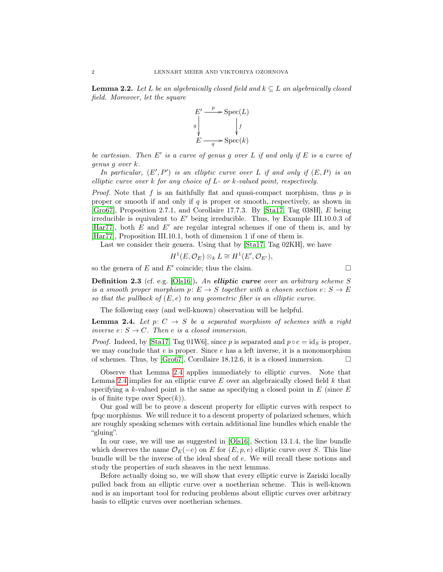**Lemma 2.2.** Let L be an algebraically closed field and  $k \subseteq L$  an algebraically closed field. Moreover, let the square



be cartesian. Then  $E'$  is a curve of genus g over L if and only if E is a curve of genus g over k.

In particular,  $(E', P')$  is an elliptic curve over L if and only if  $(E, P)$  is an elliptic curve over  $k$  for any choice of  $L$ - or  $k$ -valued point, respectively.

*Proof.* Note that f is an faithfully flat and quasi-compact morphism, thus p is proper or smooth if and only if  $q$  is proper or smooth, respectively, as shown in [\[Gro67\]](#page-16-5), Proposition 2.7.1, and Corollaire 17.7.3. By [\[Sta17,](#page-16-6) Tag 038H], E being irreducible is equivalent to  $E'$  being irreducible. Thus, by Example III.10.0.3 of [\[Har77\]](#page-16-4), both  $E$  and  $E'$  are regular integral schemes if one of them is, and by [\[Har77\]](#page-16-4), Proposition III.10.1, both of dimension 1 if one of them is.

Last we consider their genera. Using that by [\[Sta17,](#page-16-6) Tag 02KH], we have

$$
H^1(E, \mathcal{O}_E) \otimes_k L \cong H^1(E', \mathcal{O}_{E'}),
$$

so the genera of E and E' coincide; thus the claim.

**Definition 2.3** (cf. e.g. [\[Ols16\]](#page-16-3)). An elliptic curve over an arbitrary scheme S is a smooth proper morphism p:  $E \to S$  together with a chosen section  $e: S \to E$ so that the pullback of  $(E, e)$  to any geometric fiber is an elliptic curve.

The following easy (and well-known) observation will be helpful.

<span id="page-1-0"></span>**Lemma 2.4.** Let  $p: C \rightarrow S$  be a separated morphism of schemes with a right inverse  $e: S \to C$ . Then e is a closed immersion.

*Proof.* Indeed, by [\[Sta17,](#page-16-6) Tag 01W6], since p is separated and  $p \circ e = id_S$  is proper, we may conclude that  $e$  is proper. Since  $e$  has a left inverse, it is a monomorphism of schemes. Thus, by [\[Gro67\]](#page-16-5), Corollaire 18.12.6, it is a closed immersion.  $\square$ 

Observe that Lemma [2.4](#page-1-0) applies immediately to elliptic curves. Note that Lemma [2.4](#page-1-0) implies for an elliptic curve  $E$  over an algebraically closed field  $k$  that specifying a k-valued point is the same as specifying a closed point in  $E$  (since  $E$ is of finite type over  $Spec(k)$ .

Our goal will be to prove a descent property for elliptic curves with respect to fpqc morphisms. We will reduce it to a descent property of polarized schemes, which are roughly speaking schemes with certain additional line bundles which enable the "gluing".

In our case, we will use as suggested in [\[Ols16\]](#page-16-3), Section 13.1.4, the line bundle which deserves the name  $\mathcal{O}_E(-e)$  on E for  $(E, p, e)$  elliptic curve over S. This line bundle will be the inverse of the ideal sheaf of e. We will recall these notions and study the properties of such sheaves in the next lemmas.

<span id="page-1-1"></span>Before actually doing so, we will show that every elliptic curve is Zariski locally pulled back from an elliptic curve over a noetherian scheme. This is well-known and is an important tool for reducing problems about elliptic curves over arbitrary basis to elliptic curves over noetherian schemes.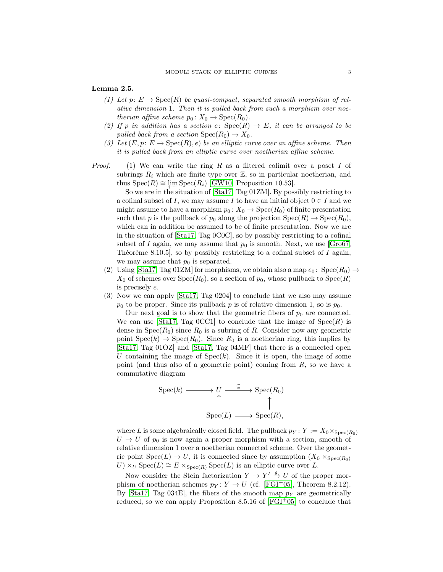### Lemma 2.5.

- (1) Let  $p: E \to \text{Spec}(R)$  be quasi-compact, separated smooth morphism of relative dimension 1. Then it is pulled back from such a morphism over noetherian affine scheme  $p_0: X_0 \to \text{Spec}(R_0)$ .
- (2) If p in addition has a section e:  $Spec(R) \rightarrow E$ , it can be arranged to be pulled back from a section  $Spec(R_0) \to X_0$ .
- (3) Let  $(E, p: E \to \text{Spec}(R), e)$  be an elliptic curve over an affine scheme. Then it is pulled back from an elliptic curve over noetherian affine scheme.
- *Proof.* (1) We can write the ring R as a filtered colimit over a poset I of subrings  $R_i$  which are finite type over  $\mathbb{Z}$ , so in particular noetherian, and thus  $Spec(R) \cong \lim_{k \to \infty} Spec(R_i)$  [\[GW10,](#page-16-7) Proposition 10.53].

So we are in the situation of [\[Sta17,](#page-16-6) Tag 01ZM]. By possibly restricting to a cofinal subset of I, we may assume I to have an initial object  $0 \in I$  and we might assume to have a morphism  $p_0: X_0 \to \text{Spec}(R_0)$  of finite presentation such that p is the pullback of  $p_0$  along the projection  $Spec(R) \to Spec(R_0)$ , which can in addition be assumed to be of finite presentation. Now we are in the situation of [\[Sta17,](#page-16-6) Tag 0C0C], so by possibly restricting to a cofinal subset of I again, we may assume that  $p_0$  is smooth. Next, we use [\[Gro67,](#page-16-5) Théorème 8.10.5], so by possibly restricting to a cofinal subset of I again, we may assume that  $p_0$  is separated.

- (2) Using [\[Sta17,](#page-16-6) Tag 01ZM] for morphisms, we obtain also a map  $e_0$ : Spec $(R_0) \rightarrow$  $X_0$  of schemes over  $Spec(R_0)$ , so a section of  $p_0$ , whose pullback to  $Spec(R)$ is precisely e.
- (3) Now we can apply [\[Sta17,](#page-16-6) Tag 0204] to conclude that we also may assume  $p_0$  to be proper. Since its pullback p is of relative dimension 1, so is  $p_0$ .

Our next goal is to show that the geometric fibers of  $p_0$  are connected. We can use [\[Sta17,](#page-16-6) Tag 0CC1] to conclude that the image of  $Spec(R)$  is dense in  $Spec(R_0)$  since  $R_0$  is a subring of R. Consider now any geometric point  $Spec(k) \rightarrow Spec(R_0)$ . Since  $R_0$  is a noetherian ring, this implies by [\[Sta17,](#page-16-6) Tag 01OZ] and [\[Sta17,](#page-16-6) Tag 04MF] that there is a connected open U containing the image of  $Spec(k)$ . Since it is open, the image of some point (and thus also of a geometric point) coming from  $R$ , so we have a commutative diagram



where L is some algebraically closed field. The pullback  $p_Y : Y := X_0 \times_{Spec(R_0)}$  $U \rightarrow U$  of  $p_0$  is now again a proper morphism with a section, smooth of relative dimension 1 over a noetherian connected scheme. Over the geometric point  $Spec(L) \to U$ , it is connected since by assumption  $(X_0 \times_{Spec(R_0)})$  $U \times_U \operatorname{Spec}(L) \cong E \times_{\operatorname{Spec}(R)} \operatorname{Spec}(L)$  is an elliptic curve over L.

Now consider the Stein factorization  $Y \to Y' \xrightarrow{g} U$  of the proper morphism of noetherian schemes  $p_Y : Y \to U$  (cf. [\[FGI](#page-16-8)+05], Theorem 8.2.12). By [\[Sta17,](#page-16-6) Tag 034E], the fibers of the smooth map  $p<sub>Y</sub>$  are geometrically reduced, so we can apply Proposition 8.5.16 of  $[FGI<sup>+</sup>05]$  $[FGI<sup>+</sup>05]$  to conclude that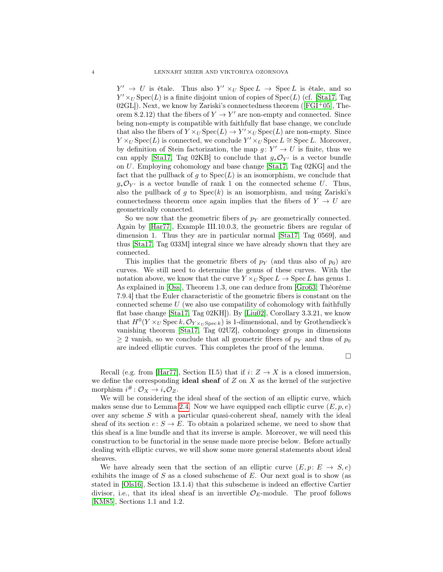$Y' \to U$  is étale. Thus also  $Y' \times_U \text{Spec } L \to \text{Spec } L$  is étale, and so  $Y' \times_U \text{Spec}(L)$  is a finite disjoint union of copies of  $\text{Spec}(L)$  (cf. [\[Sta17,](#page-16-6) Tag  $02GL$ ). Next, we know by Zariski's connectedness theorem ([\[FGI](#page-16-8)+05], Theorem 8.2.12) that the fibers of  $Y \to Y'$  are non-empty and connected. Since being non-empty is compatible with faithfully flat base change, we conclude that also the fibers of  $Y \times_U \operatorname{Spec}(L) \to Y' \times_U \operatorname{Spec}(L)$  are non-empty. Since  $Y \times_U \operatorname{Spec}(L)$  is connected, we conclude  $Y' \times_U \operatorname{Spec} L \cong \operatorname{Spec} L$ . Moreover, by definition of Stein factorization, the map  $g: Y' \to U$  is finite, thus we can apply [\[Sta17,](#page-16-6) Tag 02KB] to conclude that  $g_*\mathcal{O}_{Y'}$  is a vector bundle on U. Employing cohomology and base change [\[Sta17,](#page-16-6) Tag 02KG] and the fact that the pullback of g to  $Spec(L)$  is an isomorphism, we conclude that  $g_*\mathcal{O}_{Y'}$  is a vector bundle of rank 1 on the connected scheme U. Thus, also the pullback of q to  $Spec(k)$  is an isomorphism, and using Zariski's connectedness theorem once again implies that the fibers of  $Y \to U$  are geometrically connected.

So we now that the geometric fibers of  $p<sub>Y</sub>$  are geometrically connected. Again by [\[Har77\]](#page-16-4), Example III.10.0.3, the geometric fibers are regular of dimension 1. Thus they are in particular normal [\[Sta17,](#page-16-6) Tag 0569], and thus [\[Sta17,](#page-16-6) Tag 033M] integral since we have already shown that they are connected.

This implies that the geometric fibers of  $p_Y$  (and thus also of  $p_0$ ) are curves. We still need to determine the genus of these curves. With the notation above, we know that the curve  $Y \times_U \text{Spec } L \to \text{Spec } L$  has genus 1. As explained in [\[Oss\]](#page-16-9), Theorem 1.3, one can deduce from [\[Gro63,](#page-16-10) Théorème 7.9.4] that the Euler characteristic of the geometric fibers is constant on the connected scheme  $U$  (we also use compatility of cohomology with faithfully flat base change [\[Sta17,](#page-16-6) Tag 02KH]). By [\[Liu02\]](#page-16-11), Corollary 3.3.21, we know that  $H^0(Y \times_U \text{Spec } k, \mathcal{O}_{Y \times_U \text{Spec } k})$  is 1-dimensional, and by Grothendieck's vanishing theorem [\[Sta17,](#page-16-6) Tag 02UZ], cohomology groups in dimensions  $\geq$  2 vanish, so we conclude that all geometric fibers of  $p_Y$  and thus of  $p_0$ are indeed elliptic curves. This completes the proof of the lemma.

 $\Box$ 

Recall (e.g. from [\[Har77\]](#page-16-4), Section II.5) that if  $i: Z \to X$  is a closed immersion, we define the corresponding **ideal sheaf** of  $Z$  on  $X$  as the kernel of the surjective morphism  $i^{\#}$ :  $\mathcal{O}_X \rightarrow i_* \mathcal{O}_Z$ .

We will be considering the ideal sheaf of the section of an elliptic curve, which makes sense due to Lemma [2.4.](#page-1-0) Now we have equipped each elliptic curve  $(E, p, e)$ over any scheme S with a particular quasi-coherent sheaf, namely with the ideal sheaf of its section  $e: S \to E$ . To obtain a polarized scheme, we need to show that this sheaf is a line bundle and that its inverse is ample. Moreover, we will need this construction to be functorial in the sense made more precise below. Before actually dealing with elliptic curves, we will show some more general statements about ideal sheaves.

<span id="page-3-0"></span>We have already seen that the section of an elliptic curve  $(E, p: E \rightarrow S, e)$ exhibits the image of  $S$  as a closed subscheme of  $E$ . Our next goal is to show (as stated in [\[Ols16\]](#page-16-3), Section 13.1.4) that this subscheme is indeed an effective Cartier divisor, i.e., that its ideal sheaf is an invertible  $\mathcal{O}_E$ -module. The proof follows [\[KM85\]](#page-16-1), Sections 1.1 and 1.2.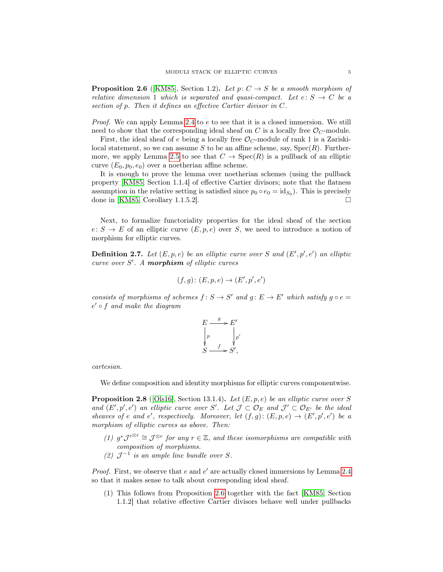**Proposition 2.6** ([\[KM85\]](#page-16-1), Section 1.2). Let  $p: C \rightarrow S$  be a smooth morphism of relative dimension 1 which is separated and quasi-compact. Let  $e: S \to C$  be a section of p. Then it defines an effective Cartier divisor in C.

Proof. We can apply Lemma [2.4](#page-1-0) to e to see that it is a closed immersion. We still need to show that the corresponding ideal sheaf on C is a locally free  $\mathcal{O}_C$ -module.

First, the ideal sheaf of e being a locally free  $\mathcal{O}_C$ -module of rank 1 is a Zariskilocal statement, so we can assume S to be an affine scheme, say,  $Spec(R)$ . Further-more, we apply Lemma [2.5](#page-1-1) to see that  $C \to \text{Spec}(R)$  is a pullback of an elliptic curve  $(E_0, p_0, e_0)$  over a noetherian affine scheme.

It is enough to prove the lemma over noetherian schemes (using the pullback property [\[KM85,](#page-16-1) Section 1.1.4] of effective Cartier divisors; note that the flatness assumption in the relative setting is satisfied since  $p_0 \circ e_0 = \text{id}_{S_0}$ . This is precisely done in [\[KM85,](#page-16-1) Corollary 1.1.5.2].

Next, to formalize functoriality properties for the ideal sheaf of the section  $e: S \to E$  of an elliptic curve  $(E, p, e)$  over S, we need to introduce a notion of morphism for elliptic curves.

**Definition 2.7.** Let  $(E, p, e)$  be an elliptic curve over S and  $(E', p', e')$  an elliptic curve over  $S'$ . A morphism of elliptic curves

$$
(f,g) \colon (E, p, e) \to (E', p', e')
$$

consists of morphisms of schemes  $f: S \to S'$  and  $g: E \to E'$  which satisfy  $g \circ e =$  $e' \circ f$  and make the diagram



cartesian.

We define composition and identity morphisms for elliptic curves componentwise.

<span id="page-4-0"></span>**Proposition 2.8** ([\[Ols16\]](#page-16-3), Section 13.1.4). Let  $(E, p, e)$  be an elliptic curve over S and  $(E', p', e')$  an elliptic curve over S'. Let  $\mathcal{J} \subset \mathcal{O}_E$  and  $\mathcal{J}' \subset \mathcal{O}_{E'}$  be the ideal sheaves of e and e', respectively. Moreover, let  $(f, g): (E, p, e) \rightarrow (E', p', e')$  be a morphism of elliptic curves as above. Then:

- (1)  $g^* \mathcal{J}'^{\otimes r} \cong \mathcal{J}^{\otimes r}$  for any  $r \in \mathbb{Z}$ , and these isomorphisms are compatible with composition of morphisms.
- (2)  $\mathcal{J}^{-1}$  is an ample line bundle over S.

*Proof.* First, we observe that  $e$  and  $e'$  are actually closed immersions by Lemma [2.4](#page-1-0) so that it makes sense to talk about corresponding ideal sheaf.

(1) This follows from Proposition [2.6](#page-3-0) together with the fact [\[KM85,](#page-16-1) Section 1.1.2] that relative effective Cartier divisors behave well under pullbacks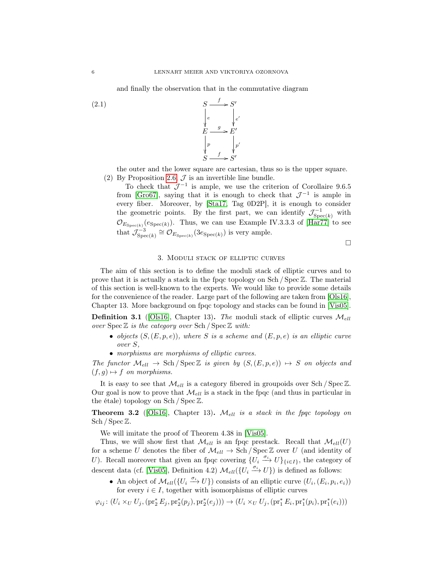<span id="page-5-2"></span>and finally the observation that in the commutative diagram



the outer and the lower square are cartesian, thus so is the upper square. (2) By Proposition [2.6,](#page-3-0)  $J$  is an invertible line bundle.

To check that  $\mathcal{J}^{-1}$  is ample, we use the criterion of Corollaire 9.6.5 from [\[Gro67\]](#page-16-5), saying that it is enough to check that  $\mathcal{J}^{-1}$  is ample in every fiber. Moreover, by [\[Sta17,](#page-16-6) Tag 0D2P], it is enough to consider the geometric points. By the first part, we can identify  $\mathcal{J}_{\text{Spec}(k)}^{-1}$  with  $\mathcal{O}_{E_{\text{Spec}(k)}}(e_{\text{Spec}(k)})$ . Thus, we can use Example IV.3.3.3 of [\[Har77\]](#page-16-4) to see that  $\mathcal{J}_{\text{Spec}(k)}^{-3} \cong \mathcal{O}_{E_{\text{Spec}(k)}}(3e_{\text{Spec}(k)})$  is very ample.

 $\Box$ 

#### 3. Moduli stack of elliptic curves

<span id="page-5-0"></span>The aim of this section is to define the moduli stack of elliptic curves and to prove that it is actually a stack in the fpqc topology on Sch  $/$  Spec  $\mathbb{Z}$ . The material of this section is well-known to the experts. We would like to provide some details for the convenience of the reader. Large part of the following are taken from [\[Ols16\]](#page-16-3), Chapter 13. More background on fpqc topology and stacks can be found in [\[Vis05\]](#page-17-0).

**Definition 3.1** ([\[Ols16\]](#page-16-3), Chapter 13). The moduli stack of elliptic curves  $\mathcal{M}_{ell}$ over  $\text{Spec } \mathbb{Z}$  is the category over  $\text{Sch}/\text{Spec } \mathbb{Z}$  with:

- objects  $(S,(E,p,e))$ , where S is a scheme and  $(E,p,e)$  is an elliptic curve over S,
- morphisms are morphisms of elliptic curves.

The functor  $\mathcal{M}_{ell} \rightarrow \text{Sch}/\text{Spec} \mathbb{Z}$  is given by  $(S,(E,p,e)) \mapsto S$  on objects and  $(f, g) \mapsto f$  on morphisms.

It is easy to see that  $\mathcal{M}_{ell}$  is a category fibered in groupoids over Sch/Spec Z. Our goal is now to prove that  $\mathcal{M}_{ell}$  is a stack in the fpqc (and thus in particular in the étale) topology on Sch / Spec Z.

<span id="page-5-1"></span>**Theorem 3.2** ([\[Ols16\]](#page-16-3), Chapter 13).  $\mathcal{M}_{ell}$  is a stack in the fpqc topology on Sch / Spec Z.

We will imitate the proof of Theorem 4.38 in [\[Vis05\]](#page-17-0).

Thus, we will show first that  $\mathcal{M}_{ell}$  is an fpqc prestack. Recall that  $\mathcal{M}_{ell}(U)$ for a scheme U denotes the fiber of  $\mathcal{M}_{ell} \to \text{Sch}/\text{Spec} \mathbb{Z}$  over U (and identity of U). Recall moreover that given an fpqc covering  $\{U_i \stackrel{\sigma_i}{\longrightarrow} U\}_{\{i \in I\}}$ , the category of descent data (cf. [\[Vis05\]](#page-17-0), Definition 4.2)  $\mathcal{M}_{ell}(\{U_i \stackrel{\sigma_i}{\longrightarrow} U\})$  is defined as follows:

• An object of  $\mathcal{M}_{ell}(\{U_i \xrightarrow{\sigma_i} U\})$  consists of an elliptic curve  $(U_i, (E_i, p_i, e_i))$ for every  $i \in I$ , together with isomorphisms of elliptic curves

 $\varphi_{ij} : (U_i \times_U U_j, (\text{pr}_2^* E_j, \text{pr}_2^*(p_j), \text{pr}_2^*(e_j))) \to (U_i \times_U U_j, (\text{pr}_1^* E_i, \text{pr}_1^*(p_i), \text{pr}_1^*(e_i)))$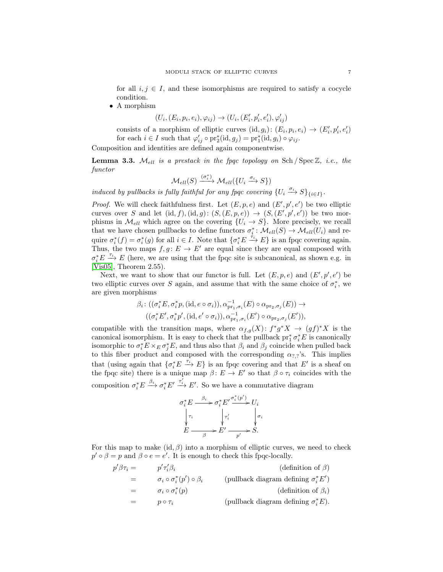for all  $i, j \in I$ , and these isomorphisms are required to satisfy a cocycle condition.

• A morphism

 $(U_i, (E_i, p_i, e_i), \varphi_{ij}) \to (U_i, (E'_i, p'_i, e'_i), \varphi'_{ij})$ 

consists of a morphism of elliptic curves  $(id, g_i)$ :  $(E_i, p_i, e_i) \rightarrow (E'_i, p'_i, e'_i)$ for each  $i \in I$  such that  $\varphi'_{ij} \circ \text{pr}_2^*(\text{id}, g_j) = \text{pr}_1^*(\text{id}, g_i) \circ \varphi_{ij}$ .

Composition and identities are defined again componentwise.

<span id="page-6-0"></span>**Lemma 3.3.**  $\mathcal{M}_{ell}$  is a prestack in the fpqc topology on Sch  $/\text{Spec } \mathbb{Z}$ , i.e., the functor

$$
\mathcal{M}_{ell}(S) \xrightarrow{(\sigma_i^*)} \mathcal{M}_{ell}(\{U_i \xrightarrow{\sigma_i} S\})
$$

induced by pullbacks is fully faithful for any fpqc covering  $\{U_i \stackrel{\sigma_i}{\longrightarrow} S\}_{\{i \in I\}}$ .

*Proof.* We will check faithfulness first. Let  $(E, p, e)$  and  $(E', p', e')$  be two elliptic curves over S and let  $(id, f), (id, g) : (S, (E, p, e)) \rightarrow (S, (E', p', e'))$  be two morphisms in  $\mathcal{M}_{ell}$  which agree on the covering  $\{U_i \to S\}$ . More precisely, we recall that we have chosen pullbacks to define functors  $\sigma_i^* \colon \mathcal{M}_{ell}(S) \to \mathcal{M}_{ell}(U_i)$  and require  $\sigma_i^*(f) = \sigma_i^*(g)$  for all  $i \in I$ . Note that  $\{\sigma_i^* E \xrightarrow{\tau_i} E\}$  is an fpqc covering again. Thus, the two maps  $f, g \colon E \to E'$  are equal since they are equal composed with  $\sigma_i^* E \stackrel{\tau_i}{\longrightarrow} E$  (here, we are using that the fpqc site is subcanonical, as shown e.g. in [\[Vis05\]](#page-17-0), Theorem 2.55).

Next, we want to show that our functor is full. Let  $(E, p, e)$  and  $(E', p', e')$  be two elliptic curves over S again, and assume that with the same choice of  $\sigma_i^*$ , we are given morphisms

$$
\beta_i: ((\sigma_i^*E, \sigma_i^*p, (\mathrm{id}, e \circ \sigma_i)), \alpha_{\mathrm{pr}_1, \sigma_i}^{-1}(E) \circ \alpha_{\mathrm{pr}_2, \sigma_j}(E)) \to ((\sigma_i^*E', \sigma_i^*p', (\mathrm{id}, e' \circ \sigma_i)), \alpha_{\mathrm{pr}_1, \sigma_i}^{-1}(E') \circ \alpha_{\mathrm{pr}_2, \sigma_j}(E')),
$$

compatible with the transition maps, where  $\alpha_{f,g}(X)$ :  $f^*g^*X \to (gf)^*X$  is the canonical isomorphism. It is easy to check that the pullback  $\mathrm{pr}_1^*\sigma_i^*E$  is canonically isomorphic to  $\sigma_i^* E \times_E \sigma_j^* E$ , and thus also that  $\beta_i$  and  $\beta_j$  coincide when pulled back to this fiber product and composed with the corresponding  $\alpha_{7,7}$ 's. This implies that (using again that  $\{\sigma_i^* E \stackrel{\tau_i}{\longrightarrow} E\}$  is an fpqc covering and that  $E'$  is a sheaf on the fpqc site) there is a unique map  $\beta: E \to E'$  so that  $\beta \circ \tau_i$  coincides with the composition  $\sigma_i^* E \xrightarrow{\beta_i} \sigma_i^* E' \xrightarrow{\tau_i'} E'$ . So we have a commutative diagram

$$
\sigma_i^* E \xrightarrow{\beta_i} \sigma_i^* E' \xrightarrow{\sigma_i^* (p')} U_i
$$
\n
$$
\downarrow \tau_i
$$
\n
$$
E \xrightarrow{\phantom{\sim}} E' \xrightarrow{\phantom{\sim}} E' \xrightarrow{\phantom{\sim}} F' S.
$$

For this map to make  $(id, \beta)$  into a morphism of elliptic curves, we need to check  $p' \circ \beta = p$  and  $\beta \circ e = e'$ . It is enough to check this fpqc-locally.

 $p'\beta\tau_i = p'\tau_i'\beta_i$  (definition of  $\beta$ ) =  $\sigma_i \circ \sigma_i^*(p') \circ \beta_i$  (pullback diagram defining  $\sigma_i^* E'$ )  $= \sigma_i \circ \sigma_i^*$ (definition of  $\beta_i$ ) =  $p \circ \tau_i$  (pullback diagram defining  $\sigma_i^* E$ ).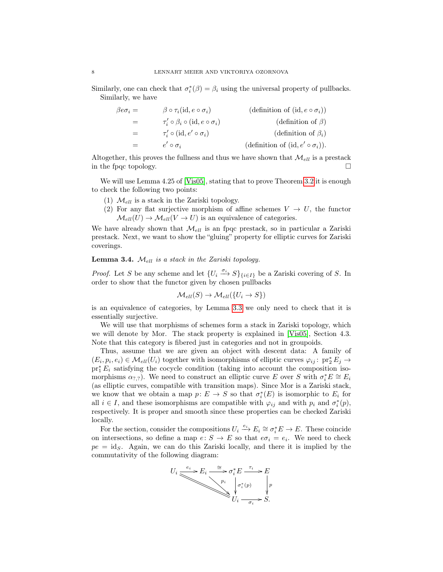Similarly, one can check that  $\sigma_i^*(\beta) = \beta_i$  using the universal property of pullbacks. Similarly, we have

$$
\beta e \sigma_i = \beta \circ \tau_i (\text{id}, e \circ \sigma_i) \qquad (\text{definition of } (\text{id}, e \circ \sigma_i))
$$
  
\n
$$
= \tau'_i \circ \beta_i \circ (\text{id}, e \circ \sigma_i) \qquad (\text{definition of } \beta)
$$
  
\n
$$
= \tau'_i \circ (\text{id}, e' \circ \sigma_i) \qquad (\text{definition of } \beta_i)
$$
  
\n
$$
= e' \circ \sigma_i \qquad (\text{definition of } (\text{id}, e' \circ \sigma_i)).
$$

Altogether, this proves the fullness and thus we have shown that  $\mathcal{M}_{ell}$  is a prestack in the fpqc topology.

We will use Lemma 4.25 of  $|Vis05|$ , stating that to prove Theorem [3.2](#page-5-1) it is enough to check the following two points:

- (1)  $\mathcal{M}_{ell}$  is a stack in the Zariski topology.
- (2) For any flat surjective morphism of affine schemes  $V \rightarrow U$ , the functor  $\mathcal{M}_{ell}(U) \to \mathcal{M}_{ell}(V \to U)$  is an equivalence of categories.

We have already shown that  $\mathcal{M}_{ell}$  is an fpqc prestack, so in particular a Zariski prestack. Next, we want to show the "gluing" property for elliptic curves for Zariski coverings.

## **Lemma 3.4.**  $\mathcal{M}_{ell}$  is a stack in the Zariski topology.

*Proof.* Let S be any scheme and let  $\{U_i \stackrel{\sigma_i}{\longrightarrow} S\}_{\{i \in I\}}$  be a Zariski covering of S. In order to show that the functor given by chosen pullbacks

$$
\mathcal{M}_{ell}(S) \to \mathcal{M}_{ell}(\{U_i \to S\})
$$

is an equivalence of categories, by Lemma [3.3](#page-6-0) we only need to check that it is essentially surjective.

We will use that morphisms of schemes form a stack in Zariski topology, which we will denote by Mor. The stack property is explained in [\[Vis05\]](#page-17-0), Section 4.3. Note that this category is fibered just in categories and not in groupoids.

Thus, assume that we are given an object with descent data: A family of  $(E_i, p_i, e_i) \in \mathcal{M}_{ell}(U_i)$  together with isomorphisms of elliptic curves  $\varphi_{ij}$ :  $\mathrm{pr}_2^* E_j \to$  $\text{pr}_1^* E_i$  satisfying the cocycle condition (taking into account the composition isomorphisms  $\alpha_{?,?}$ ). We need to construct an elliptic curve E over S with  $\sigma_i^* E \cong E_i$ (as elliptic curves, compatible with transition maps). Since Mor is a Zariski stack, we know that we obtain a map  $p: E \to S$  so that  $\sigma_i^*(E)$  is isomorphic to  $E_i$  for all  $i \in I$ , and these isomorphisms are compatible with  $\varphi_{ij}$  and with  $p_i$  and  $\sigma_i^*(p)$ , respectively. It is proper and smooth since these properties can be checked Zariski locally.

For the section, consider the compositions  $U_i \stackrel{e_i}{\longrightarrow} E_i \cong \sigma_i^* E \to E$ . These coincide on intersections, so define a map  $e: S \to E$  so that  $e\sigma_i = e_i$ . We need to check  $pe = id_s$ . Again, we can do this Zariski locally, and there it is implied by the commutativity of the following diagram:

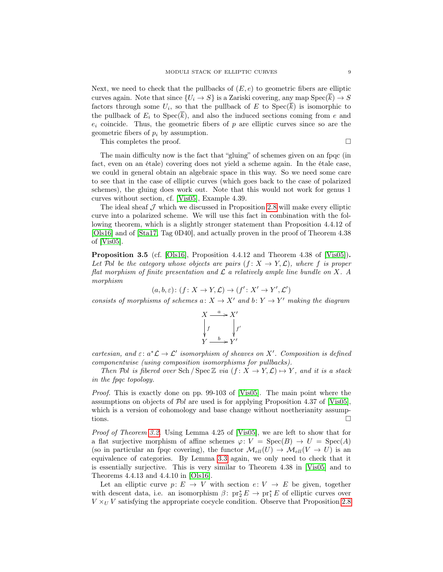Next, we need to check that the pullbacks of  $(E, e)$  to geometric fibers are elliptic curves again. Note that since  $\{U_i \rightarrow S\}$  is a Zariski covering, any map  $Spec(k) \rightarrow S$ factors through some  $U_i$ , so that the pullback of E to Spec $(k)$  is isomorphic to the pullback of  $E_i$  to  $Spec(\overline{k})$ , and also the induced sections coming from e and  $e_i$  coincide. Thus, the geometric fibers of p are elliptic curves since so are the geometric fibers of  $p_i$  by assumption.

This completes the proof.

$$
\qquad \qquad \Box
$$

The main difficulty now is the fact that "gluing" of schemes given on an fpqc (in fact, even on an étale) covering does not yield a scheme again. In the étale case, we could in general obtain an algebraic space in this way. So we need some care to see that in the case of elliptic curves (which goes back to the case of polarized schemes), the gluing does work out. Note that this would not work for genus 1 curves without section, cf. [\[Vis05\]](#page-17-0), Example 4.39.

The ideal sheaf  $\mathcal J$  which we discussed in Proposition [2.8](#page-4-0) will make every elliptic curve into a polarized scheme. We will use this fact in combination with the following theorem, which is a slightly stronger statement than Proposition 4.4.12 of [\[Ols16\]](#page-16-3) and of [\[Sta17,](#page-16-6) Tag 0D40], and actually proven in the proof of Theorem 4.38 of [\[Vis05\]](#page-17-0).

<span id="page-8-0"></span>Proposition 3.5 (cf. [\[Ols16\]](#page-16-3), Proposition 4.4.12 and Theorem 4.38 of [\[Vis05\]](#page-17-0)). Let Pol be the category whose objects are pairs  $(f: X \to Y, \mathcal{L})$ , where f is proper flat morphism of finite presentation and  $\mathcal L$  a relatively ample line bundle on X. A morphism

$$
(a, b, \varepsilon) \colon (f \colon X \to Y, \mathcal{L}) \to (f' \colon X' \to Y', \mathcal{L}')
$$

consists of morphisms of schemes  $a: X \to X'$  and  $b: Y \to Y'$  making the diagram



cartesian, and  $\varepsilon: \alpha^* \mathcal{L} \to \mathcal{L}'$  isomorphism of sheaves on X'. Composition is defined componentwise (using composition isomorphisms for pullbacks).

Then Pol is fibered over Sch / Spec Z via  $(f: X \to Y, \mathcal{L}) \mapsto Y$ , and it is a stack in the fpqc topology.

Proof. This is exactly done on pp. 99-103 of [\[Vis05\]](#page-17-0). The main point where the assumptions on objects of Pol are used is for applying Proposition 4.37 of [\[Vis05\]](#page-17-0), which is a version of cohomology and base change without noetherianity assumptions.

Proof of Theorem [3.2.](#page-5-1) Using Lemma 4.25 of [\[Vis05\]](#page-17-0), we are left to show that for a flat surjective morphism of affine schemes  $\varphi: V = \text{Spec}(B) \to U = \text{Spec}(A)$ (so in particular an fpqc covering), the functor  $\mathcal{M}_{ell}(U) \to \mathcal{M}_{ell}(V \to U)$  is an equivalence of categories. By Lemma [3.3](#page-6-0) again, we only need to check that it is essentially surjective. This is very similar to Theorem 4.38 in [\[Vis05\]](#page-17-0) and to Theorems 4.4.13 and 4.4.10 in [\[Ols16\]](#page-16-3).

Let an elliptic curve  $p: E \to V$  with section  $e: V \to E$  be given, together with descent data, i.e. an isomorphism  $\beta: pr_2^* E \to pr_1^* E$  of elliptic curves over  $V \times_U V$  satisfying the appropriate cocycle condition. Observe that Proposition [2.8](#page-4-0)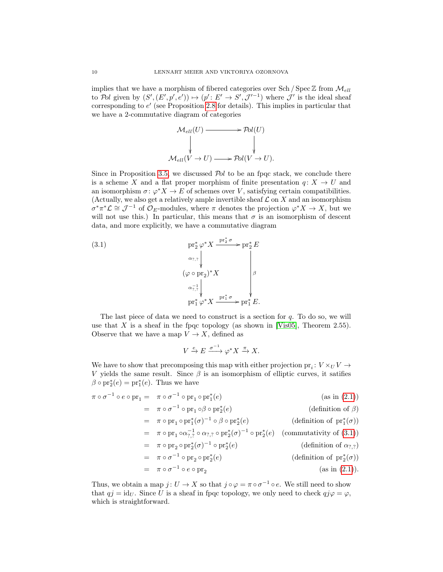implies that we have a morphism of fibered categories over Sch / Spec  $\mathbb Z$  from  $\mathcal M_{ell}$ to Pol given by  $(S', (E', p', e')) \mapsto (p' : E' \to S', \mathcal{J}'^{-1})$  where  $\mathcal{J}'$  is the ideal sheaf corresponding to  $e'$  (see Proposition [2.8](#page-4-0) for details). This implies in particular that we have a 2-commutative diagram of categories

$$
\mathcal{M}_{ell}(U) \longrightarrow \mathcal{P}ol(U)
$$
  
\n
$$
\downarrow \qquad \qquad \downarrow
$$
  
\n
$$
\mathcal{M}_{ell}(V \to U) \longrightarrow \mathcal{P}ol(V \to U).
$$

Since in Proposition [3.5,](#page-8-0) we discussed  $Pol$  to be an fpqc stack, we conclude there is a scheme X and a flat proper morphism of finite presentation  $q: X \to U$  and an isomorphism  $\sigma: \varphi^* X \to E$  of schemes over V, satisfying certain compatibilities. (Actually, we also get a relatively ample invertible sheaf  $\mathcal L$  on X and an isomorphism  $\sigma^* \pi^* L \cong \mathcal{J}^{-1}$  of  $\mathcal{O}_E$ -modules, where  $\pi$  denotes the projection  $\varphi^* X \to X$ , but we will not use this.) In particular, this means that  $\sigma$  is an isomorphism of descent data, and more explicitly, we have a commutative diagram

<span id="page-9-0"></span>(3.1)  
\n
$$
\begin{array}{ccc}\n\operatorname{pr}_{2}^{*} \varphi^{*} X & \xrightarrow{\operatorname{pr}_{2}^{*} \sigma} \operatorname{pr}_{2}^{*} E \\
\alpha_{?,?} & & & \\
(\varphi \circ \operatorname{pr}_{2})^{*} X & & \beta \\
\alpha_{?,?}^{-1} & & & \\
\operatorname{pr}_{1}^{*} \varphi^{*} X & \xrightarrow{\operatorname{pr}_{1}^{*} \sigma} \operatorname{pr}_{1}^{*} E.\n\end{array}
$$

The last piece of data we need to construct is a section for  $q$ . To do so, we will use that X is a sheaf in the fpqc topology (as shown in [\[Vis05\]](#page-17-0), Theorem 2.55). Observe that we have a map  $V \to X$ , defined as

$$
V \xrightarrow{e} E \xrightarrow{\sigma^{-1}} \varphi^* X \xrightarrow{\pi} X.
$$

We have to show that precomposing this map with either projection  $\text{pr}_i: V \times_U V \to$ V yields the same result. Since  $\beta$  is an isomorphism of elliptic curves, it satifies  $\beta \circ \text{pr}_2^*(e) = \text{pr}_1^*(e)$ . Thus we have

$$
\pi \circ \sigma^{-1} \circ e \circ pr_1 = \pi \circ \sigma^{-1} \circ pr_1 \circ pr_1^*(e)
$$
\n
$$
= \pi \circ \sigma^{-1} \circ pr_1 \circ \beta \circ pr_2^*(e)
$$
\n
$$
= \pi \circ pr_1 \circ pr_1^*(\sigma)^{-1} \circ \beta \circ pr_2^*(e)
$$
\n
$$
= \pi \circ pr_1 \circ \alpha_{7,7}^{-1} \circ \alpha_{7,7} \circ pr_2^*(\sigma)^{-1} \circ pr_2^*(e)
$$
\n
$$
= \pi \circ pr_2 \circ pr_2^*(\sigma)^{-1} \circ pr_2^*(e)
$$
\n
$$
= \pi \circ \sigma^{-1} \circ pr_2 \circ pr_2^*(e)
$$
\n
$$
= \pi \circ \sigma^{-1} \circ pr_2 \circ pr_2^*(e)
$$
\n
$$
= \pi \circ \sigma^{-1} \circ e \circ pr_2
$$
\n
$$
\text{(definition of } pr_2^*(\sigma))
$$
\n
$$
= \pi \circ \sigma^{-1} \circ e \circ pr_2
$$
\n
$$
\text{(as in (2.1))}
$$

Thus, we obtain a map  $j: U \to X$  so that  $j \circ \varphi = \pi \circ \sigma^{-1} \circ e$ . We still need to show that  $qj = id<sub>U</sub>$ . Since U is a sheaf in fpqc topology, we only need to check  $qj\varphi = \varphi$ , which is straightforward.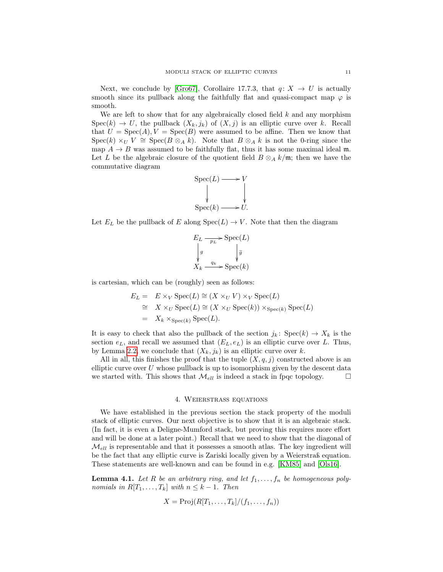Next, we conclude by [\[Gro67\]](#page-16-5), Corollaire 17.7.3, that  $q: X \to U$  is actually smooth since its pullback along the faithfully flat and quasi-compact map  $\varphi$  is smooth.

We are left to show that for any algebraically closed field  $k$  and any morphism  $Spec(k) \rightarrow U$ , the pullback  $(X_k, j_k)$  of  $(X, j)$  is an elliptic curve over k. Recall that  $U = \text{Spec}(A), V = \text{Spec}(B)$  were assumed to be affine. Then we know that  $Spec(k) \times_U V \cong Spec(B \otimes_A k)$ . Note that  $B \otimes_A k$  is not the 0-ring since the map  $A \to B$  was assumed to be faithfully flat, thus it has some maximal ideal m. Let L be the algebraic closure of the quotient field  $B \otimes_A k/\mathfrak{m}$ ; then we have the commutative diagram



Let  $E_L$  be the pullback of E along  $Spec(L) \to V$ . Note that then the diagram

$$
E_L \longrightarrow \text{Spec}(L)
$$
  
\n
$$
\downarrow g
$$
  
\n
$$
X_k \longrightarrow \text{Spec}(k)
$$

is cartesian, which can be (roughly) seen as follows:

$$
E_L = E \times_V \text{Spec}(L) \cong (X \times_U V) \times_V \text{Spec}(L)
$$
  
\n
$$
\cong X \times_U \text{Spec}(L) \cong (X \times_U \text{Spec}(k)) \times_{\text{Spec}(k)} \text{Spec}(L)
$$
  
\n
$$
= X_k \times_{\text{Spec}(k)} \text{Spec}(L).
$$

It is easy to check that also the pullback of the section  $j_k$ :  $Spec(k) \rightarrow X_k$  is the section  $e<sub>L</sub>$ , and recall we assumed that  $(E<sub>L</sub>, e<sub>L</sub>)$  is an elliptic curve over L. Thus, by Lemma [2.2,](#page-0-2) we conclude that  $(X_k, j_k)$  is an elliptic curve over k.

All in all, this finishes the proof that the tuple  $(X, q, j)$  constructed above is an elliptic curve over  $U$  whose pullback is up to isomorphism given by the descent data we started with. This shows that  $\mathcal{M}_{ell}$  is indeed a stack in fpqc topology.  $\Box$ 

#### 4. Weierstraß equations

<span id="page-10-0"></span>We have established in the previous section the stack property of the moduli stack of elliptic curves. Our next objective is to show that it is an algebraic stack. (In fact, it is even a Deligne-Mumford stack, but proving this requires more effort and will be done at a later point.) Recall that we need to show that the diagonal of  $\mathcal{M}_{ell}$  is representable and that it possesses a smooth atlas. The key ingredient will be the fact that any elliptic curve is Zariski locally given by a Weierstraß equation. These statements are well-known and can be found in e.g. [\[KM85\]](#page-16-1) and [\[Ols16\]](#page-16-3).

<span id="page-10-1"></span>**Lemma 4.1.** Let R be an arbitrary ring, and let  $f_1, \ldots, f_n$  be homogeneous polynomials in  $R[T_1, \ldots, T_k]$  with  $n \leq k-1$ . Then

$$
X = \mathrm{Proj}(R[T_1, \ldots, T_k]/(f_1, \ldots, f_n))
$$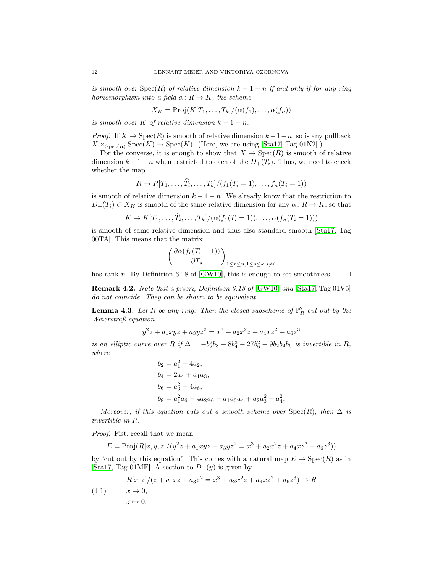is smooth over  $Spec(R)$  of relative dimension  $k-1-n$  if and only if for any ring homomorphism into a field  $\alpha: R \to K$ , the scheme

$$
X_K = \text{Proj}(K[T_1, \ldots, T_k]/(\alpha(f_1), \ldots, \alpha(f_n))
$$

is smooth over K of relative dimension  $k - 1 - n$ .

*Proof.* If  $X \to \text{Spec}(R)$  is smooth of relative dimension  $k-1-n$ , so is any pullback  $X \times_{\text{Spec}(R)} \text{Spec}(K) \to \text{Spec}(K)$ . (Here, we are using [\[Sta17,](#page-16-6) Tag 01N2].)

For the converse, it is enough to show that  $X \to \text{Spec}(R)$  is smooth of relative dimension  $k-1-n$  when restricted to each of the  $D_+(T_i)$ . Thus, we need to check whether the map

$$
R \rightarrow R[T_1,\ldots,\overline{T}_i,\ldots,T_k]/(f_1(T_i=1),\ldots,f_n(T_i=1))
$$

is smooth of relative dimension  $k - 1 - n$ . We already know that the restriction to  $D_{+}(T_i) \subset X_K$  is smooth of the same relative dimension for any  $\alpha: R \to K$ , so that

$$
K \to K[T_1,\ldots,\widehat{T}_i,\ldots,T_k]/(\alpha(f_1(T_i=1)),\ldots,\alpha(f_n(T_i=1)))
$$

is smooth of same relative dimension and thus also standard smooth [\[Sta17,](#page-16-6) Tag 00TA]. This means that the matrix

$$
\left(\frac{\partial \alpha(f_r(T_i=1))}{\partial T_s}\right)_{1 \leq r \leq n, 1 \leq s \leq k, s \neq i}
$$

has rank n. By Definition 6.18 of [\[GW10\]](#page-16-7), this is enough to see smoothness.  $\square$ 

Remark 4.2. Note that a priori, Definition 6.18 of [\[GW10\]](#page-16-7) and [\[Sta17,](#page-16-6) Tag 01V5] do not coincide. They can be shown to be equivalent.

<span id="page-11-0"></span>**Lemma 4.3.** Let R be any ring. Then the closed subscheme of  $\mathbb{P}^2_R$  cut out by the Weierstraß equation

$$
y^2z + a_1xyz + a_3yz^2 = x^3 + a_2x^2z + a_4xz^2 + a_6z^3
$$

is an elliptic curve over R if  $\Delta = -b_2^2b_8 - 8b_4^3 - 27b_6^2 + 9b_2b_4b_6$  is invertible in R, where

$$
b_2 = a_1^2 + 4a_2,
$$
  
\n
$$
b_4 = 2a_4 + a_1a_3,
$$
  
\n
$$
b_6 = a_3^2 + 4a_6,
$$
  
\n
$$
b_8 = a_1^2a_6 + 4a_2a_6 - a_1a_3a_4 + a_2a_3^2 - a_4^2.
$$

Moreover, if this equation cuts out a smooth scheme over  $Spec(R)$ , then  $\Delta$  is invertible in R.

Proof. Fist, recall that we mean

$$
E = \text{Proj}(R[x, y, z]/(y^2z + a_1xyz + a_3yz^2 = x^3 + a_2x^2z + a_4xz^2 + a_6z^3))
$$

by "cut out by this equation". This comes with a natural map  $E \to \text{Spec}(R)$  as in [\[Sta17,](#page-16-6) Tag 01ME]. A section to  $D_+(y)$  is given by

(4.1) 
$$
R[x, z]/(z + a_1xz + a_3z^2 = x^3 + a_2x^2z + a_4xz^2 + a_6z^3) \rightarrow R
$$

$$
x \mapsto 0,
$$

$$
z \mapsto 0.
$$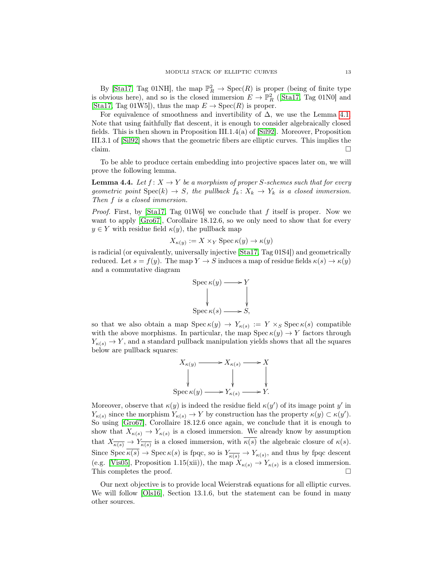By [\[Sta17,](#page-16-6) Tag 01NH], the map  $\mathbb{P}^2_R \to \text{Spec}(R)$  is proper (being of finite type is obvious here), and so is the closed immersion  $E \to \mathbb{P}^2_R$  ([\[Sta17,](#page-16-6) Tag 01N0] and [\[Sta17,](#page-16-6) Tag 01W5]), thus the map  $E \to \text{Spec}(R)$  is proper.

For equivalence of smoothness and invertibility of  $\Delta$ , we use the Lemma [4.1.](#page-10-1) Note that using faithfully flat descent, it is enough to consider algebraically closed fields. This is then shown in Proposition III.1.4(a) of [\[Sil92\]](#page-16-12). Moreover, Proposition III.3.1 of [\[Sil92\]](#page-16-12) shows that the geometric fibers are elliptic curves. This implies the  $\Box$ 

To be able to produce certain embedding into projective spaces later on, we will prove the following lemma.

<span id="page-12-0"></span>**Lemma 4.4.** Let  $f: X \to Y$  be a morphism of proper S-schemes such that for every geometric point  $Spec(k) \rightarrow S$ , the pullback  $f_k: X_k \rightarrow Y_k$  is a closed immersion. Then f is a closed immersion.

*Proof.* First, by  $[Stat7, Tag 01W6]$  we conclude that f itself is proper. Now we want to apply [\[Gro67\]](#page-16-5), Corollaire 18.12.6, so we only need to show that for every  $y \in Y$  with residue field  $\kappa(y)$ , the pullback map

$$
X_{\kappa(y)} := X \times_Y \operatorname{Spec} \kappa(y) \to \kappa(y)
$$

is radicial (or equivalently, universally injective [\[Sta17,](#page-16-6) Tag 01S4]) and geometrically reduced. Let  $s = f(y)$ . The map  $Y \to S$  induces a map of residue fields  $\kappa(s) \to \kappa(y)$ and a commutative diagram



so that we also obtain a map  $Spec \kappa(y) \to Y_{\kappa(s)} := Y \times_S Spec \kappa(s)$  compatible with the above morphisms. In particular, the map  $Spec \kappa(y) \to Y$  factors through  $Y_{\kappa(s)} \to Y$ , and a standard pullback manipulation yields shows that all the squares below are pullback squares:

$$
X_{\kappa(y)} \longrightarrow X_{\kappa(s)} \longrightarrow X
$$
  
\n
$$
\downarrow \qquad \qquad \downarrow
$$
  
\nSpec  $\kappa(y) \longrightarrow Y_{\kappa(s)} \longrightarrow Y.$ 

Moreover, observe that  $\kappa(y)$  is indeed the residue field  $\kappa(y')$  of its image point y' in  $Y_{\kappa(s)}$  since the morphism  $Y_{\kappa(s)} \to Y$  by construction has the property  $\kappa(y) \subset \kappa(y')$ . So using [\[Gro67\]](#page-16-5), Corollaire 18.12.6 once again, we conclude that it is enough to show that  $X_{\kappa(s)} \to Y_{\kappa(s)}$  is a closed immersion. We already know by assumption that  $X_{\overline{\kappa(s)}} \to Y_{\overline{\kappa(s)}}$  is a closed immersion, with  $\kappa(s)$  the algebraic closure of  $\kappa(s)$ . Since  $Spec \kappa(s) \to Spec \kappa(s)$  is fpqc, so is  $Y_{\overline{\kappa(s)}} \to Y_{\kappa(s)}$ , and thus by fpqc descent (e.g. [\[Vis05\]](#page-17-0), Proposition 1.15(xii)), the map  $X_{\kappa(s)} \to Y_{\kappa(s)}$  is a closed immersion. This completes the proof.

Our next objective is to provide local Weierstraß equations for all elliptic curves. We will follow [\[Ols16\]](#page-16-3), Section 13.1.6, but the statement can be found in many other sources.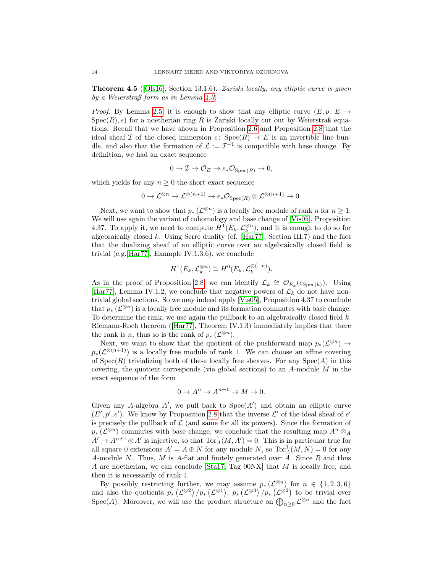**Theorem 4.5** ([\[Ols16\]](#page-16-3), Section 13.1.6). Zariski locally, any elliptic curve is given by a Weierstraß form as in Lemma [4.3.](#page-11-0)

*Proof.* By Lemma [2.5,](#page-1-1) it is enough to show that any elliptic curve  $(E, p: E \rightarrow$  $Spec(R), e$  for a noetherian ring R is Zariski locally cut out by Weierstraß equations. Recall that we have shown in Proposition [2.6](#page-3-0) and Proposition [2.8](#page-4-0) that the ideal sheaf I of the closed immersion  $e: Spec(R) \rightarrow E$  is an invertible line bundle, and also that the formation of  $\mathcal{L} := \mathcal{I}^{-1}$  is compatible with base change. By definition, we had an exact sequence

$$
0 \to \mathcal{I} \to \mathcal{O}_E \to e_* \mathcal{O}_{\mathrm{Spec}(R)} \to 0,
$$

which yields for any  $n \geq 0$  the short exact sequence

$$
0 \to \mathcal{L}^{\otimes n} \to \mathcal{L}^{\otimes (n+1)} \to e_* \mathcal{O}_{\mathrm{Spec}(R)} \otimes \mathcal{L}^{\otimes (n+1)} \to 0.
$$

Next, we want to show that  $p_*(\mathcal{L}^{\otimes n})$  is a locally free module of rank n for  $n \geq 1$ . We will use again the variant of cohomology and base change of [\[Vis05\]](#page-17-0), Proposition 4.37. To apply it, we need to compute  $H^1(E_k, \mathcal{L}_k^{\otimes n})$ , and it is enough to do so for algebraically closed  $k$ . Using Serre duality (cf. [\[Har77\]](#page-16-4), Section III.7) and the fact that the dualizing sheaf of an elliptic curve over an algebraically closed field is trivial (e.g.[\[Har77\]](#page-16-4), Example IV.1.3.6), we conclude

$$
H^1(E_k, \mathcal{L}_k^{\otimes n}) \cong H^0(E_k, \mathcal{L}_k^{\otimes (-n)}).
$$

As in the proof of Proposition [2.8,](#page-4-0) we can identify  $\mathcal{L}_k \cong \mathcal{O}_{E_k}(e_{\text{Spec}(k)})$ . Using [\[Har77\]](#page-16-4), Lemma IV.1.2, we conclude that negative powers of  $\mathcal{L}_k$  do not have nontrivial global sections. So we may indeed apply [\[Vis05\]](#page-17-0), Proposition 4.37 to conclude that  $p_* (\mathcal{L}^{\otimes n})$  is a locally free module and its formation commutes with base change. To determine the rank, we use again the pullback to an algebraically closed field  $k$ . Riemann-Roch theorem ([\[Har77\]](#page-16-4), Theorem IV.1.3) immediately implies that there the rank is *n*, thus so is the rank of  $p_*\left(\mathcal{L}^{\otimes n}\right)$ .

Next, we want to show that the quotient of the pushforward map  $p_*(\mathcal{L}^{\otimes n}) \to$  $p_*(\mathcal{L}^{\otimes (n+1)})$  is a locally free module of rank 1. We can choose an affine covering of  $Spec(R)$  trivializing both of these locally free sheaves. For any  $Spec(A)$  in this covering, the quotient corresponds (via global sections) to an  $A$ -module  $M$  in the exact sequence of the form

$$
0 \to A^n \to A^{n+1} \to M \to 0.
$$

Given any A-algebra  $A'$ , we pull back to  $Spec(A')$  and obtain an elliptic curve  $(E', p', e')$ . We know by Proposition [2.8](#page-4-0) that the inverse  $\mathcal{L}'$  of the ideal sheaf of  $e'$ is precisely the pullback of  $\mathcal L$  (and same for all its powers). Since the formation of  $p_*(\mathcal{L}^{\otimes n})$  commutes with base change, we conclude that the resulting map  $A^n \otimes_A$  $A' \to A^{n+1} \otimes A'$  is injective, so that  $\text{Tor}_A^1(M, A') = 0$ . This is in particular true for all square 0 extensions  $A' = A \oplus N$  for any module N, so  $\text{Tor}_A^1(M, N) = 0$  for any A-module  $N$ . Thus,  $M$  is A-flat and finitely generated over  $A$ . Since  $R$  and thus A are noetherian, we can conclude [\[Sta17,](#page-16-6) Tag 00NX] that M is locally free, and then it is necessarily of rank 1.

By possibly restricting further, we may assume  $p_*(\mathcal{L}^{\otimes n})$  for  $n \in \{1,2,3,6\}$ and also the quotients  $p_* (\mathcal{L}^{\otimes 2}) / p_* (\mathcal{L}^{\otimes 1})$ ,  $p_* (\mathcal{L}^{\otimes 3}) / p_* (\mathcal{L}^{\otimes 2})$  to be trivial over Spec(A). Moreover, we will use the product structure on  $\bigoplus_{n\geq 0} \mathcal{L}^{\otimes n}$  and the fact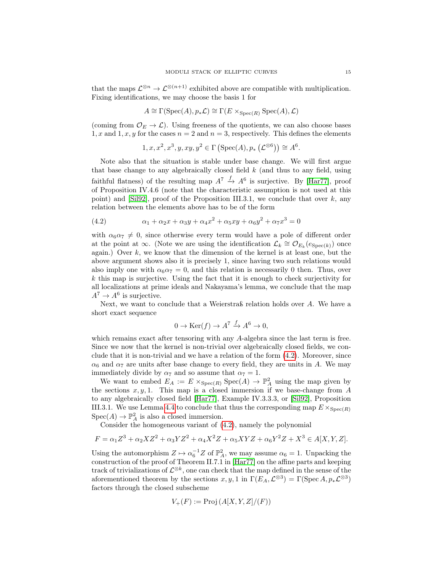that the maps  $\mathcal{L}^{\otimes n} \to \mathcal{L}^{\otimes (n+1)}$  exhibited above are compatible with multiplication. Fixing identifications, we may choose the basis 1 for

$$
A \cong \Gamma(\operatorname{Spec}(A), p_*\mathcal{L}) \cong \Gamma(E \times_{\operatorname{Spec}(R)} \operatorname{Spec}(A), \mathcal{L})
$$

(coming from  $\mathcal{O}_E \to \mathcal{L}$ ). Using freeness of the quotients, we can also choose bases 1, x and 1, x, y for the cases  $n = 2$  and  $n = 3$ , respectively. This defines the elements

$$
1, x, x^2, x^3, y, xy, y^2 \in \Gamma\left(\operatorname{Spec}(A), p_*\left(\mathcal{L}^{\otimes 6}\right)\right) \cong A^6.
$$

Note also that the situation is stable under base change. We will first argue that base change to any algebraically closed field  $k$  (and thus to any field, using faithful flatness) of the resulting map  $A^7 \stackrel{f}{\rightarrow} A^6$  is surjective. By [\[Har77\]](#page-16-4), proof of Proposition IV.4.6 (note that the characteristic assumption is not used at this point) and [\[Sil92\]](#page-16-12), proof of the Proposition III.3.1, we conclude that over  $k$ , any relation between the elements above has to be of the form

<span id="page-14-0"></span>(4.2) 
$$
\alpha_1 + \alpha_2 x + \alpha_3 y + \alpha_4 x^2 + \alpha_5 x y + \alpha_6 y^2 + \alpha_7 x^3 = 0
$$

with  $\alpha_6 \alpha_7 \neq 0$ , since otherwise every term would have a pole of different order at the point at  $\infty$ . (Note we are using the identification  $\mathcal{L}_k \cong \mathcal{O}_{E_k}(e_{\text{Spec}(k)})$  once again.) Over  $k$ , we know that the dimension of the kernel is at least one, but the above argument shows also it is precisely 1, since having two such relations would also imply one with  $\alpha_6 \alpha_7 = 0$ , and this relation is necessarily 0 then. Thus, over k this map is surjective. Using the fact that it is enough to check surjectivity for all localizations at prime ideals and Nakayama's lemma, we conclude that the map  $A^7 \rightarrow A^6$  is surjective.

Next, we want to conclude that a Weierstraß relation holds over A. We have a short exact sequence

$$
0 \to \text{Ker}(f) \to A^7 \xrightarrow{f} A^6 \to 0,
$$

which remains exact after tensoring with any A-algebra since the last term is free. Since we now that the kernel is non-trivial over algebraically closed fields, we conclude that it is non-trivial and we have a relation of the form [\(4.2\)](#page-14-0). Moreover, since  $\alpha_6$  and  $\alpha_7$  are units after base change to every field, they are units in A. We may immediately divide by  $\alpha_7$  and so assume that  $\alpha_7 = 1$ .

We want to embed  $E_A := E \times_{Spec(R)} Spec(A) \to \mathbb{P}^2_A$  using the map given by the sections  $x, y, 1$ . This map is a closed immersion if we base-change from A to any algebraically closed field [\[Har77\]](#page-16-4), Example IV.3.3.3, or [\[Sil92\]](#page-16-12), Proposition III.3.1. We use Lemma [4.4](#page-12-0) to conclude that thus the corresponding map  $E \times_{\text{Spec}(R)}$  $Spec(A) \to \mathbb{P}^2_A$  is also a closed immersion.

Consider the homogeneous variant of [\(4.2\)](#page-14-0), namely the polynomial

$$
F = \alpha_1 Z^3 + \alpha_2 X Z^2 + \alpha_3 Y Z^2 + \alpha_4 X^2 Z + \alpha_5 X Y Z + \alpha_6 Y^2 Z + X^3 \in A[X, Y, Z].
$$

Using the automorphism  $Z \mapsto \alpha_6^{-1} Z$  of  $\mathbb{P}^2_A$ , we may assume  $\alpha_6 = 1$ . Unpacking the construction of the proof of Theorem II.7.1 in [\[Har77\]](#page-16-4) on the affine parts and keeping track of trivializations of  $\mathcal{L}^{\otimes k}$ , one can check that the map defined in the sense of the aforementioned theorem by the sections  $x, y, 1$  in  $\Gamma(E_A, \mathcal{L}^{\otimes 3}) = \Gamma(\text{Spec } A, p_* \mathcal{L}^{\otimes 3})$ factors through the closed subscheme

$$
V_{+}(F) := \text{Proj}\,(A[X,Y,Z]/(F))
$$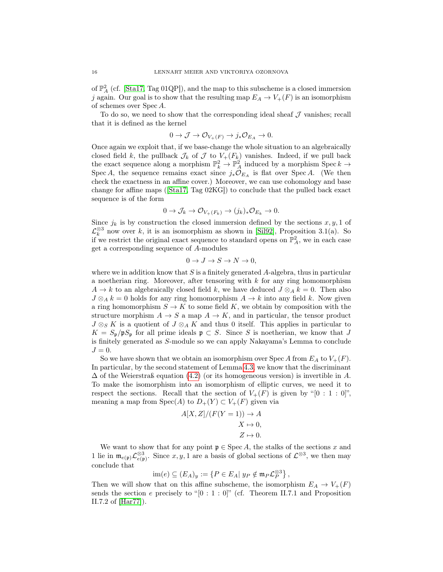of  $\mathbb{P}^2_A$  (cf. [\[Sta17,](#page-16-6) Tag 01QP]), and the map to this subscheme is a closed immersion j again. Our goal is to show that the resulting map  $E_A \to V_+(F)$  is an isomorphism of schemes over Spec A.

To do so, we need to show that the corresponding ideal sheaf  $J$  vanishes; recall that it is defined as the kernel

$$
0 \to \mathcal{J} \to \mathcal{O}_{V_+(F)} \to j_* \mathcal{O}_{E_A} \to 0.
$$

Once again we exploit that, if we base-change the whole situation to an algebraically closed field k, the pullback  $\mathcal{J}_k$  of  $\mathcal J$  to  $V_+(F_k)$  vanishes. Indeed, if we pull back the exact sequence along a morphism  $\mathbb{P}_k^2 \to \mathbb{P}_A^2$  induced by a morphism  $\text{Spec } k \to$ Spec A, the sequence remains exact since  $j_*\mathcal{O}_{E_A}$  is flat over Spec A. (We then check the exactness in an affine cover.) Moreover, we can use cohomology and base change for affine maps ([\[Sta17,](#page-16-6) Tag 02KG]) to conclude that the pulled back exact sequence is of the form

$$
0 \to \mathcal{J}_k \to \mathcal{O}_{V_+(F_k)} \to (j_k)_*\mathcal{O}_{E_k} \to 0.
$$

Since  $j_k$  is by construction the closed immersion defined by the sections  $x, y, 1$  of  $\mathcal{L}_k^{\otimes 3}$  now over k, it is an isomorphism as shown in [\[Sil92\]](#page-16-12), Proposition 3.1(a). So if we restrict the original exact sequence to standard opens on  $\mathbb{P}^2_A$ , we in each case get a corresponding sequence of A-modules

$$
0 \to J \to S \to N \to 0,
$$

where we in addition know that  $S$  is a finitely generated  $A$ -algebra, thus in particular a noetherian ring. Moreover, after tensoring with  $k$  for any ring homomorphism  $A \to k$  to an algebraically closed field k, we have deduced  $J \otimes_A k = 0$ . Then also  $J \otimes_A k = 0$  holds for any ring homomorphism  $A \to k$  into any field k. Now given a ring homomorphism  $S \to K$  to some field K, we obtain by composition with the structure morphism  $A \to S$  a map  $A \to K$ , and in particular, the tensor product  $J \otimes_S K$  is a quotient of  $J \otimes_A K$  and thus 0 itself. This applies in particular to  $K = S_p / \mathfrak{p} S_p$  for all prime ideals  $\mathfrak{p} \subset S$ . Since S is noetherian, we know that J is finitely generated as S-module so we can apply Nakayama's Lemma to conclude  $J=0.$ 

So we have shown that we obtain an isomorphism over Spec A from  $E_A$  to  $V_+(F)$ . In particular, by the second statement of Lemma [4.3,](#page-11-0) we know that the discriminant  $\Delta$  of the Weierstraß equation [\(4.2\)](#page-14-0) (or its homogeneous version) is invertible in A. To make the isomorphism into an isomorphism of elliptic curves, we need it to respect the sections. Recall that the section of  $V_{+}(F)$  is given by "[0 : 1 : 0]", meaning a map from  $Spec(A)$  to  $D_+(Y) \subset V_+(F)$  given via

$$
A[X, Z]/(F(Y = 1)) \to A
$$
  

$$
X \to 0,
$$
  

$$
Z \to 0.
$$

We want to show that for any point  $\mathfrak{p} \in \mathrm{Spec}\,A$ , the stalks of the sections x and 1 lie in  $\mathfrak{m}_{e(\mathfrak{p})}\mathcal{L}_{e(\mathfrak{p})}^{\otimes 3}$ . Since  $x, y, 1$  are a basis of global sections of  $\mathcal{L}^{\otimes 3}$ , we then may conclude that

$$
\mathrm{im}(e) \subseteq (E_A)_y := \{ P \in E_A | y_P \notin \mathfrak{m}_P \mathcal{L}_P^{\otimes 3} \},
$$

Then we will show that on this affine subscheme, the isomorphism  $E_A \to V_+(F)$ sends the section e precisely to " $[0:1:0]$ " (cf. Theorem II.7.1 and Proposition II.7.2 of [\[Har77\]](#page-16-4)).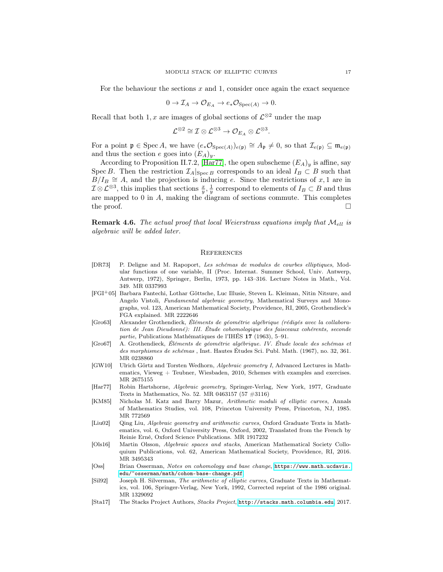For the behaviour the sections  $x$  and 1, consider once again the exact sequence

$$
0 \to \mathcal{I}_A \to \mathcal{O}_{E_A} \to e_*\mathcal{O}_{\mathrm{Spec}(A)} \to 0.
$$

Recall that both 1, x are images of global sections of  $\mathcal{L}^{\otimes 2}$  under the map

$$
\mathcal{L}^{\otimes 2} \cong \mathcal{I} \otimes \mathcal{L}^{\otimes 3} \to \mathcal{O}_{E_A} \otimes \mathcal{L}^{\otimes 3}.
$$

For a point  $\mathfrak{p} \in \text{Spec } A$ , we have  $(e_* \mathcal{O}_{\text{Spec}(A)})_{e(\mathfrak{p})} \cong A_{\mathfrak{p}} \neq 0$ , so that  $\mathcal{I}_{e(\mathfrak{p})} \subseteq \mathfrak{m}_{e(\mathfrak{p})}$ and thus the section e goes into  $(E_A)_y$ .

According to Proposition II.7.2, [\[Har77\]](#page-16-4), the open subscheme  $(E_A)_y$  is affine, say Spec B. Then the restriction  $\mathcal{I}_A|_{\text{Spec }B}$  corresponds to an ideal  $I_B \subset B$  such that  $B/I_B \cong A$ , and the projection is inducing e. Since the restrictions of x, 1 are in  $\mathcal{I}\otimes\mathcal{L}^{\otimes3}$ , this implies that sections  $\frac{x}{y}, \frac{1}{y}$  correspond to elements of  $I_B\subset B$  and thus are mapped to  $0$  in  $A$ , making the diagram of sections commute. This completes the proof.  $\Box$ 

**Remark 4.6.** The actual proof that local Weierstrass equations imply that  $\mathcal{M}_{ell}$  is algebraic will be added later.

### <span id="page-16-0"></span>**REFERENCES**

- <span id="page-16-2"></span>[DR73] P. Deligne and M. Rapoport, Les schémas de modules de courbes elliptiques, Modular functions of one variable, II (Proc. Internat. Summer School, Univ. Antwerp, Antwerp, 1972), Springer, Berlin, 1973, pp. 143–316. Lecture Notes in Math., Vol. 349. MR 0337993
- <span id="page-16-8"></span>[FGI+05] Barbara Fantechi, Lothar Göttsche, Luc Illusie, Steven L. Kleiman, Nitin Nitsure, and Angelo Vistoli, Fundamental algebraic geometry, Mathematical Surveys and Monographs, vol. 123, American Mathematical Society, Providence, RI, 2005, Grothendieck's FGA explained. MR 2222646
- <span id="page-16-10"></span>[Gro63] Alexander Grothendieck, Éléments de géométrie algébrique (rédigés avec la collaboration de Jean Dieudonné): III. Étude cohomologique des faisceaux cohérents, seconde partie, Publications Mathématiques de l'IHÉS 17 (1963), 5–91.
- <span id="page-16-5"></span>[Gro67] A. Grothendieck, Éléments de géométrie algébrique. IV. Étude locale des schémas et des morphismes de schémas , Inst. Hautes Études Sci. Publ. Math. (1967), no. 32, 361. MR 0238860
- <span id="page-16-7"></span>[GW10] Ulrich Görtz and Torsten Wedhorn, Algebraic geometry I, Advanced Lectures in Mathematics, Vieweg + Teubner, Wiesbaden, 2010, Schemes with examples and exercises. MR 2675155
- <span id="page-16-4"></span>[Har77] Robin Hartshorne, Algebraic geometry, Springer-Verlag, New York, 1977, Graduate Texts in Mathematics, No. 52. MR 0463157 (57 #3116)
- <span id="page-16-1"></span>[KM85] Nicholas M. Katz and Barry Mazur, Arithmetic moduli of elliptic curves, Annals of Mathematics Studies, vol. 108, Princeton University Press, Princeton, NJ, 1985. MR 772569
- <span id="page-16-11"></span>[Liu02] Qing Liu, Algebraic geometry and arithmetic curves, Oxford Graduate Texts in Mathematics, vol. 6, Oxford University Press, Oxford, 2002, Translated from the French by Reinie Erné, Oxford Science Publications. MR 1917232
- <span id="page-16-3"></span>[Ols16] Martin Olsson, Algebraic spaces and stacks, American Mathematical Society Colloquium Publications, vol. 62, American Mathematical Society, Providence, RI, 2016. MR 3495343
- <span id="page-16-9"></span>[Oss] Brian Osserman, Notes on cohomology and base change, [https://www.math.ucdavis.](https://www.math.ucdavis.edu/~osserman/math/cohom-base-change.pdf) [edu/~osserman/math/cohom-base-change.pdf](https://www.math.ucdavis.edu/~osserman/math/cohom-base-change.pdf).
- <span id="page-16-12"></span>[Sil92] Joseph H. Silverman, The arithmetic of elliptic curves, Graduate Texts in Mathematics, vol. 106, Springer-Verlag, New York, 1992, Corrected reprint of the 1986 original. MR 1329092
- <span id="page-16-6"></span>[Sta17] The Stacks Project Authors, Stacks Project, <http://stacks.math.columbia.edu>, 2017.